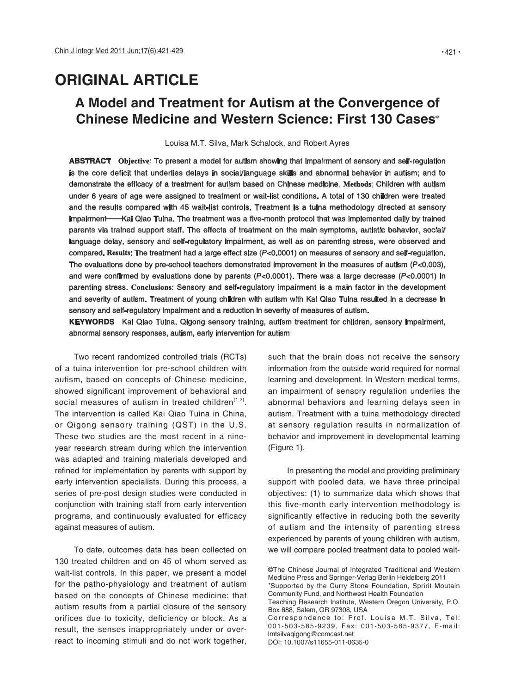# **ORIGINAL ARTICLE**

# **A Model and Treatment for Autism at the Convergence of Chinese Medicine and Western Science: First 130 Cases**

Louisa M.T. Silva, Mark Schalock, and Robert Ayres

**ABSTRACT Objective**: To present a model for autism showing that impairment of sensory and self-regulation is the core deficit that underlies delays in social/language skills and abnormal behavior in autism; and to demonstrate the efficacy of a treatment for autism based on Chinese medicine. **Methods**: Children with autism under 6 years of age were assigned to treatment or wait-list conditions. A total of 130 children were treated and the results compared with 45 wait-list controls. Treatment is a tuina methodology directed at sensory impairment——Kai Qiao Tuina. The treatment was a five-month protocol that was implemented daily by trained parents via trained support staff. The effects of treatment on the main symptoms, autistic behavior, social/ language delay, sensory and self-regulatory impairment, as well as on parenting stress, were observed and compared. **Results**: The treatment had a large effect size (P<0.0001) on measures of sensory and self-regulation. The evaluations done by pre-school teachers demonstrated improvement in the measures of autism  $(P<0.003)$ , and were confirmed by evaluations done by parents (P<0.0001). There was a large decrease (P<0.0001) in parenting stress. **Conclusions**: Sensory and self-regulatory impairment is a main factor in the development and severity of autism. Treatment of young children with autism with Kai Qiao Tuina resulted in a decrease in sensory and self-regulatory impairment and a reduction in severity of measures of autism.

**KEYWORDS** Kai Qiao Tuina, Qigong sensory training, autism treatment for children, sensory impairment, abnormal sensory responses, autism, early intervention for autism

Two recent randomized controlled trials (RCTs) of a tuina intervention for pre-school children with autism, based on concepts of Chinese medicine, showed significant improvement of behavioral and social measures of autism in treated children $(1,2)$ . The intervention is called Kai Qiao Tuina in China, or Qigong sensory training (QST) in the U.S. These two studies are the most recent in a nineyear research stream during which the intervention was adapted and training materials developed and refined for implementation by parents with support by early intervention specialists. During this process, a series of pre-post design studies were conducted in conjunction with training staff from early intervention programs, and continuously evaluated for efficacy against measures of autism.

To date, outcomes data has been collected on 130 treated children and on 45 of whom served as wait-list controls. In this paper, we present a model for the patho-physiology and treatment of autism based on the concepts of Chinese medicine: that autism results from a partial closure of the sensory orifices due to toxicity, deficiency or block. As a result, the senses inappropriately under or overreact to incoming stimuli and do not work together,

such that the brain does not receive the sensory information from the outside world required for normal learning and development. In Western medical terms, an impairment of sensory regulation underlies the abnormal behaviors and learning delays seen in autism. Treatment with a tuina methodology directed at sensory regulation results in normalization of behavior and improvement in developmental learning (Figure 1).

In presenting the model and providing preliminary support with pooled data, we have three principal objectives: (1) to summarize data which shows that this five-month early intervention methodology is significantly effective in reducing both the severity of autism and the intensity of parenting stress experienced by parents of young children with autism, we will compare pooled treatment data to pooled wait-

<sup>©</sup>The Chinese Journal of Integrated Traditional and Western Medicine Press and Springer-Verlag Berlin Heidelberg 2011 Supported by the Curry Stone Foundation, Spririt Moutain

Community Fund, and Northwest Health Foundation Teaching Research Institute, Western Oregon University, P.O.

Box 688, Salem, OR 97308, USA Correspondence to: Prof. Louisa M.T. Silva, Tel:

<sup>001-503-585-9239,</sup> Fax: 001-503-585-9377, E-mail: lmtsilvaqigong@comcast.net

DOI: 10.1007/s11655-011-0635-0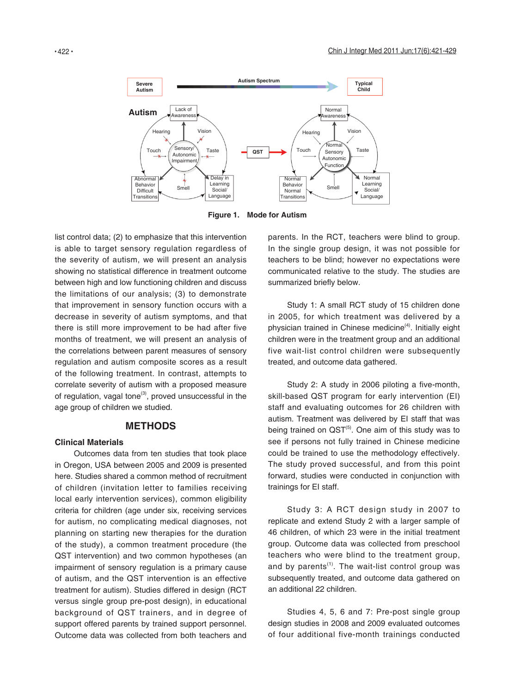

**Figure 1. Mode for Autism**

list control data; (2) to emphasize that this intervention is able to target sensory regulation regardless of the severity of autism, we will present an analysis showing no statistical difference in treatment outcome between high and low functioning children and discuss the limitations of our analysis; (3) to demonstrate that improvement in sensory function occurs with a decrease in severity of autism symptoms, and that there is still more improvement to be had after five months of treatment, we will present an analysis of the correlations between parent measures of sensory regulation and autism composite scores as a result of the following treatment. In contrast, attempts to correlate severity of autism with a proposed measure of regulation, vagal tone $(3)$ , proved unsuccessful in the age group of children we studied.

### **METHODS**

### **Clinical Materials**

Outcomes data from ten studies that took place in Oregon, USA between 2005 and 2009 is presented here. Studies shared a common method of recruitment of children (invitation letter to families receiving local early intervention services), common eligibility criteria for children (age under six, receiving services for autism, no complicating medical diagnoses, not planning on starting new therapies for the duration of the study), a common treatment procedure (the QST intervention) and two common hypotheses (an impairment of sensory regulation is a primary cause of autism, and the QST intervention is an effective treatment for autism). Studies differed in design (RCT versus single group pre-post design), in educational background of QST trainers, and in degree of support offered parents by trained support personnel. Outcome data was collected from both teachers and

parents. In the RCT, teachers were blind to group. In the single group design, it was not possible for teachers to be blind; however no expectations were communicated relative to the study. The studies are summarized briefly below.

Study 1: A small RCT study of 15 children done in 2005, for which treatment was delivered by a physician trained in Chinese medicine<sup>(4)</sup>. Initially eight children were in the treatment group and an additional five wait-list control children were subsequently treated, and outcome data gathered.

Study 2: A study in 2006 piloting a five-month, skill-based QST program for early intervention (EI) staff and evaluating outcomes for 26 children with autism. Treatment was delivered by EI staff that was being trained on  $\text{QST}^{(5)}$ . One aim of this study was to see if persons not fully trained in Chinese medicine could be trained to use the methodology effectively. The study proved successful, and from this point forward, studies were conducted in conjunction with trainings for EI staff.

Study 3: A RCT design study in 2007 to replicate and extend Study 2 with a larger sample of 46 children, of which 23 were in the initial treatment group. Outcome data was collected from preschool teachers who were blind to the treatment group, and by parents<sup> $(1)$ </sup>. The wait-list control group was subsequently treated, and outcome data gathered on an additional 22 children.

Studies 4, 5, 6 and 7: Pre-post single group design studies in 2008 and 2009 evaluated outcomes of four additional five-month trainings conducted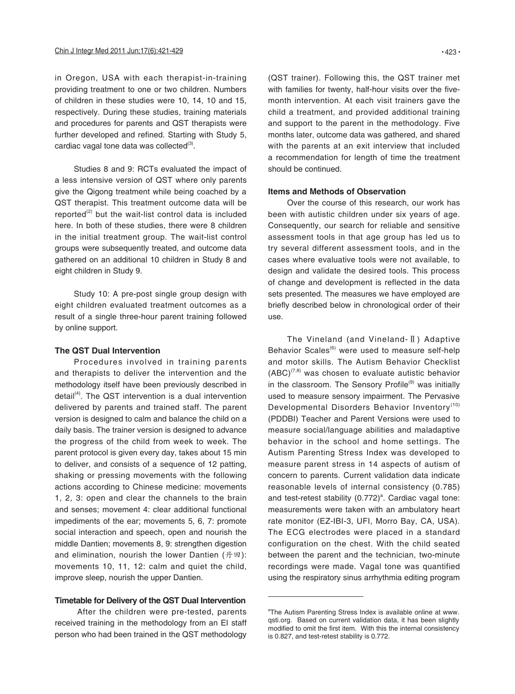in Oregon, USA with each therapist-in-training providing treatment to one or two children. Numbers of children in these studies were 10, 14, 10 and 15, respectively. During these studies, training materials and procedures for parents and QST therapists were further developed and refined. Starting with Study 5, cardiac vagal tone data was collected $(3)$ .

Studies 8 and 9: RCTs evaluated the impact of a less intensive version of QST where only parents give the Qigong treatment while being coached by a QST therapist. This treatment outcome data will be reported $(2)$  but the wait-list control data is included here. In both of these studies, there were 8 children in the initial treatment group. The wait-list control groups were subsequently treated, and outcome data gathered on an additional 10 children in Study 8 and eight children in Study 9.

Study 10: A pre-post single group design with eight children evaluated treatment outcomes as a result of a single three-hour parent training followed by online support.

#### **The QST Dual Intervention**

Procedures involved in training parents and therapists to deliver the intervention and the methodology itself have been previously described in detail $(4)$ . The QST intervention is a dual intervention delivered by parents and trained staff. The parent version is designed to calm and balance the child on a daily basis. The trainer version is designed to advance the progress of the child from week to week. The parent protocol is given every day, takes about 15 min to deliver, and consists of a sequence of 12 patting, shaking or pressing movements with the following actions according to Chinese medicine: movements 1, 2, 3: open and clear the channels to the brain and senses; movement 4: clear additional functional impediments of the ear; movements 5, 6, 7: promote social interaction and speech, open and nourish the middle Dantien; movements 8, 9: strengthen digestion and elimination, nourish the lower Dantien (丹田): movements 10, 11, 12: calm and quiet the child, improve sleep, nourish the upper Dantien.

### **Timetable for Delivery of the QST Dual Intervention**

 After the children were pre-tested, parents received training in the methodology from an EI staff person who had been trained in the QST methodology

(QST trainer). Following this, the QST trainer met with families for twenty, half-hour visits over the fivemonth intervention. At each visit trainers gave the child a treatment, and provided additional training and support to the parent in the methodology. Five months later, outcome data was gathered, and shared with the parents at an exit interview that included a recommendation for length of time the treatment should be continued.

### **Items and Methods of Observation**

Over the course of this research, our work has been with autistic children under six years of age. Consequently, our search for reliable and sensitive assessment tools in that age group has led us to try several different assessment tools, and in the cases where evaluative tools were not available, to design and validate the desired tools. This process of change and development is reflected in the data sets presented. The measures we have employed are briefly described below in chronological order of their use.

The Vineland (and Vineland-Ⅱ) Adaptive Behavior Scales<sup>(6)</sup> were used to measure self-help and motor skills. The Autism Behavior Checklist  $(ABC)^{(7,8)}$  was chosen to evaluate autistic behavior in the classroom. The Sensory Profile<sup>(9)</sup> was initially used to measure sensory impairment. The Pervasive Developmental Disorders Behavior Inventory<sup>(10)</sup> (PDDBI) Teacher and Parent Versions were used to measure social/language abilities and maladaptive behavior in the school and home settings. The Autism Parenting Stress Index was developed to measure parent stress in 14 aspects of autism of concern to parents. Current validation data indicate reasonable levels of internal consistency (0.785) and test-retest stability  $(0.772)^a$ . Cardiac vagal tone: measurements were taken with an ambulatory heart rate monitor (EZ-IBI-3, UFI, Morro Bay, CA, USA). The ECG electrodes were placed in a standard configuration on the chest. With the child seated between the parent and the technician, two-minute recordings were made. Vagal tone was quantified using the respiratory sinus arrhythmia editing program

<sup>&</sup>lt;sup>a</sup>The Autism Parenting Stress Index is available online at www. qsti.org. Based on current validation data, it has been slightly modified to omit the first item. With this the internal consistency is 0.827, and test-retest stability is 0.772.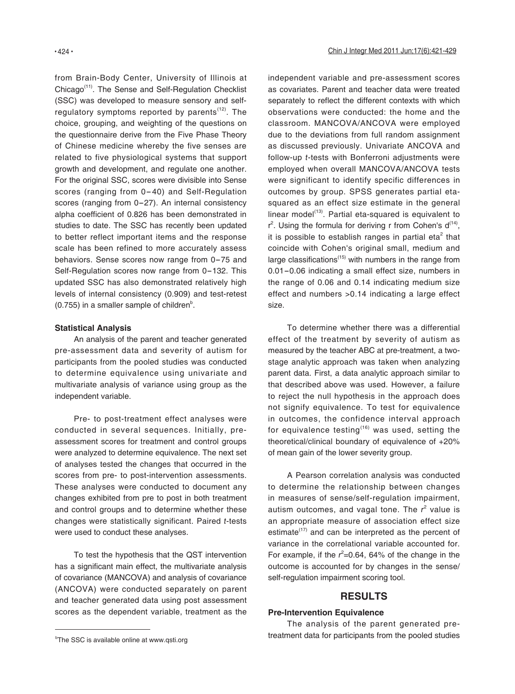from Brain-Body Center, University of Illinois at Chicago(11). The Sense and Self-Regulation Checklist (SSC) was developed to measure sensory and selfregulatory symptoms reported by parents<sup>(12)</sup>. The choice, grouping, and weighting of the questions on the questionnaire derive from the Five Phase Theory of Chinese medicine whereby the five senses are related to five physiological systems that support growth and development, and regulate one another. For the original SSC, scores were divisible into Sense scores (ranging from 0-40) and Self-Regulation scores (ranging from 0-27). An internal consistency alpha coefficient of 0.826 has been demonstrated in studies to date. The SSC has recently been updated to better reflect important items and the response scale has been refined to more accurately assess behaviors. Sense scores now range from 0-75 and Self-Regulation scores now range from 0-132. This updated SSC has also demonstrated relatively high levels of internal consistency (0.909) and test-retest  $(0.755)$  in a smaller sample of children<sup>b</sup>.

#### **Statistical Analysis**

An analysis of the parent and teacher generated pre-assessment data and severity of autism for participants from the pooled studies was conducted to determine equivalence using univariate and multivariate analysis of variance using group as the independent variable.

Pre- to post-treatment effect analyses were conducted in several sequences. Initially, preassessment scores for treatment and control groups were analyzed to determine equivalence. The next set of analyses tested the changes that occurred in the scores from pre- to post-intervention assessments. These analyses were conducted to document any changes exhibited from pre to post in both treatment and control groups and to determine whether these changes were statistically significant. Paired t-tests were used to conduct these analyses.

To test the hypothesis that the QST intervention has a significant main effect, the multivariate analysis of covariance (MANCOVA) and analysis of covariance (ANCOVA) were conducted separately on parent and teacher generated data using post assessment scores as the dependent variable, treatment as the

independent variable and pre-assessment scores as covariates. Parent and teacher data were treated separately to reflect the different contexts with which observations were conducted: the home and the classroom. MANCOVA/ANCOVA were employed due to the deviations from full random assignment as discussed previously. Univariate ANCOVA and follow-up t-tests with Bonferroni adjustments were employed when overall MANCOVA/ANCOVA tests were significant to identify specific differences in outcomes by group. SPSS generates partial etasquared as an effect size estimate in the general linear model $(13)$ . Partial eta-squared is equivalent to  $r^2$ . Using the formula for deriving r from Cohen's  $d^{(14)}$ , it is possible to establish ranges in partial eta<sup>2</sup> that coincide with Cohen's original small, medium and large classifications $(15)$  with numbers in the range from 0.01-0.06 indicating a small effect size, numbers in the range of 0.06 and 0.14 indicating medium size effect and numbers >0.14 indicating a large effect size.

To determine whether there was a differential effect of the treatment by severity of autism as measured by the teacher ABC at pre-treatment, a twostage analytic approach was taken when analyzing parent data. First, a data analytic approach similar to that described above was used. However, a failure to reject the null hypothesis in the approach does not signify equivalence. To test for equivalence in outcomes, the confidence interval approach for equivalence testing<sup> $(16)$ </sup> was used, setting the theoretical/clinical boundary of equivalence of +20% of mean gain of the lower severity group.

A Pearson correlation analysis was conducted to determine the relationship between changes in measures of sense/self-regulation impairment, autism outcomes, and vagal tone. The  $r^2$  value is an appropriate measure of association effect size estimate $^{(17)}$  and can be interpreted as the percent of variance in the correlational variable accounted for. For example, if the  $r^2$ =0.64, 64% of the change in the outcome is accounted for by changes in the sense/ self-regulation impairment scoring tool.

# **RESULTS**

### **Pre-Intervention Equivalence**

The analysis of the parent generated pre-<sup>b</sup> The SSC is available online at www.qsti.org example and treatment data for participants from the pooled studies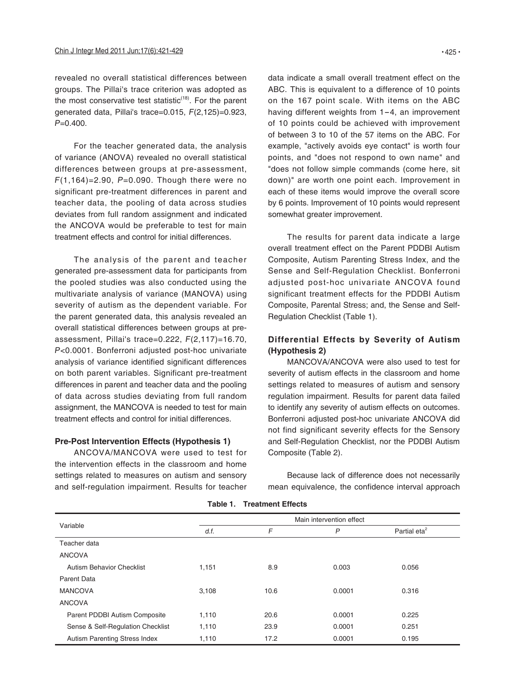revealed no overall statistical differences between groups. The Pillai's trace criterion was adopted as the most conservative test statistic<sup> $(18)$ </sup>. For the parent generated data, Pillai's trace=0.015, F(2,125)=0.923,  $P=0.400$ .

For the teacher generated data, the analysis of variance (ANOVA) revealed no overall statistical differences between groups at pre-assessment,  $F(1,164) = 2.90$ ,  $P = 0.090$ . Though there were no significant pre-treatment differences in parent and teacher data, the pooling of data across studies deviates from full random assignment and indicated the ANCOVA would be preferable to test for main treatment effects and control for initial differences.

The analysis of the parent and teacher generated pre-assessment data for participants from the pooled studies was also conducted using the multivariate analysis of variance (MANOVA) using severity of autism as the dependent variable. For the parent generated data, this analysis revealed an overall statistical differences between groups at preassessment, Pillai's trace=0.222, F(2,117)=16.70, P<0.0001. Bonferroni adjusted post-hoc univariate analysis of variance identified significant differences on both parent variables. Significant pre-treatment differences in parent and teacher data and the pooling of data across studies deviating from full random assignment, the MANCOVA is needed to test for main treatment effects and control for initial differences.

## **Pre-Post Intervention Effects (Hypothesis 1)**

ANCOVA/MANCOVA were used to test for the intervention effects in the classroom and home settings related to measures on autism and sensory and self-regulation impairment. Results for teacher data indicate a small overall treatment effect on the ABC. This is equivalent to a difference of 10 points on the 167 point scale. With items on the ABC having different weights from 1-4, an improvement of 10 points could be achieved with improvement of between 3 to 10 of the 57 items on the ABC. For example, "actively avoids eye contact" is worth four points, and "does not respond to own name" and "does not follow simple commands (come here, sit down)" are worth one point each. Improvement in each of these items would improve the overall score by 6 points. Improvement of 10 points would represent somewhat greater improvement.

The results for parent data indicate a large overall treatment effect on the Parent PDDBI Autism Composite, Autism Parenting Stress Index, and the Sense and Self-Regulation Checklist. Bonferroni adjusted post-hoc univariate ANCOVA found significant treatment effects for the PDDBI Autism Composite, Parental Stress; and, the Sense and Self-Regulation Checklist (Table 1).

# **Differential Effects by Severity of Autism (Hypothesis 2)**

MANCOVA/ANCOVA were also used to test for severity of autism effects in the classroom and home settings related to measures of autism and sensory regulation impairment. Results for parent data failed to identify any severity of autism effects on outcomes. Bonferroni adjusted post-hoc univariate ANCOVA did not find significant severity effects for the Sensory and Self-Regulation Checklist, nor the PDDBI Autism Composite (Table 2).

Because lack of difference does not necessarily mean equivalence, the confidence interval approach

|                                   | Main intervention effect |      |        |                          |  |  |
|-----------------------------------|--------------------------|------|--------|--------------------------|--|--|
| Variable                          | d.f.                     | F    | P      | Partial eta <sup>2</sup> |  |  |
| Teacher data                      |                          |      |        |                          |  |  |
| <b>ANCOVA</b>                     |                          |      |        |                          |  |  |
| <b>Autism Behavior Checklist</b>  | 1,151                    | 8.9  | 0.003  | 0.056                    |  |  |
| <b>Parent Data</b>                |                          |      |        |                          |  |  |
| <b>MANCOVA</b>                    | 3,108                    | 10.6 | 0.0001 | 0.316                    |  |  |
| <b>ANCOVA</b>                     |                          |      |        |                          |  |  |
| Parent PDDBI Autism Composite     | 1,110                    | 20.6 | 0.0001 | 0.225                    |  |  |
| Sense & Self-Regulation Checklist | 1,110                    | 23.9 | 0.0001 | 0.251                    |  |  |
| Autism Parenting Stress Index     | 1,110                    | 17.2 | 0.0001 | 0.195                    |  |  |

**Table 1. Treatment Effects**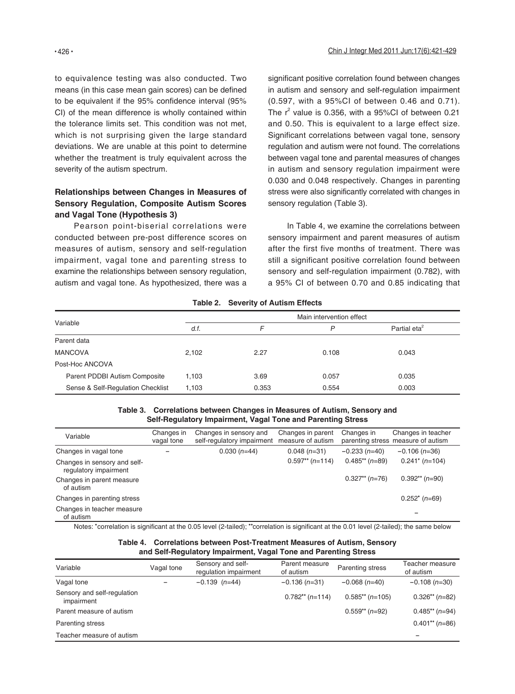to equivalence testing was also conducted. Two means (in this case mean gain scores) can be defined to be equivalent if the 95% confidence interval (95% CI) of the mean difference is wholly contained within the tolerance limits set. This condition was not met, which is not surprising given the large standard deviations. We are unable at this point to determine whether the treatment is truly equivalent across the severity of the autism spectrum.

# **Relationships between Changes in Measures of Sensory Regulation, Composite Autism Scores and Vagal Tone (Hypothesis 3)**

Pearson point-biserial correlations were conducted between pre-post difference scores on measures of autism, sensory and self-regulation impairment, vagal tone and parenting stress to examine the relationships between sensory regulation, autism and vagal tone. As hypothesized, there was a significant positive correlation found between changes in autism and sensory and self-regulation impairment (0.597, with a 95%CI of between 0.46 and 0.71). The  $r^2$  value is 0.356, with a 95%CI of between 0.21 and 0.50. This is equivalent to a large effect size. Significant correlations between vagal tone, sensory regulation and autism were not found. The correlations between vagal tone and parental measures of changes in autism and sensory regulation impairment were 0.030 and 0.048 respectively. Changes in parenting stress were also significantly correlated with changes in sensory regulation (Table 3).

In Table 4, we examine the correlations between sensory impairment and parent measures of autism after the first five months of treatment. There was still a significant positive correlation found between sensory and self-regulation impairment (0.782), with a 95% CI of between 0.70 and 0.85 indicating that

|                                   |                          | $10000$ $\leq$ $00000$ $\leq$ $00000$ |       |                          |  |
|-----------------------------------|--------------------------|---------------------------------------|-------|--------------------------|--|
|                                   | Main intervention effect |                                       |       |                          |  |
| Variable                          | d.f.                     | F                                     | P     | Partial eta <sup>2</sup> |  |
| Parent data                       |                          |                                       |       |                          |  |
| <b>MANCOVA</b>                    | 2,102                    | 2.27                                  | 0.108 | 0.043                    |  |
| Post-Hoc ANCOVA                   |                          |                                       |       |                          |  |
| Parent PDDBI Autism Composite     | 1.103                    | 3.69                                  | 0.057 | 0.035                    |  |
| Sense & Self-Regulation Checklist | 1.103                    | 0.353                                 | 0.554 | 0.003                    |  |

#### **Table 2. Severity of Autism Effects**

#### **Table 3. Correlations between Changes in Measures of Autism, Sensory and Self-Regulatory Impairment, Vagal Tone and Parenting Stress**

| Variable                                              | Changes in<br>vagal tone | Changes in sensory and<br>self-regulatory impairment | Changes in parent<br>measure of autism | Changes in        | Changes in teacher<br>parenting stress measure of autism |
|-------------------------------------------------------|--------------------------|------------------------------------------------------|----------------------------------------|-------------------|----------------------------------------------------------|
| Changes in vagal tone                                 |                          | $0.030(n=44)$                                        | $0.048(n=31)$                          | $-0.233(n=40)$    | $-0.106$ (n=36)                                          |
| Changes in sensory and self-<br>regulatory impairment |                          |                                                      | $0.597**$ (n=114)                      | $0.485$ (n=89)    | $0.241^*$ (n=104)                                        |
| Changes in parent measure<br>of autism                |                          |                                                      |                                        | $0.327$ ** (n=76) | $0.392**$ (n=90)                                         |
| Changes in parenting stress                           |                          |                                                      |                                        |                   | $0.252^*$ (n=69)                                         |
| Changes in teacher measure<br>of autism               |                          |                                                      |                                        |                   |                                                          |

Notes: "correlation is significant at the 0.05 level (2-tailed); ""correlation is significant at the 0.01 level (2-tailed); the same below

| Table 4. Correlations between Post-Treatment Measures of Autism, Sensory |
|--------------------------------------------------------------------------|
| and Self-Regulatory Impairment, Vagal Tone and Parenting Stress          |

| Variable                                  | Vagal tone | Sensory and self-<br>regulation impairment | Parent measure<br>of autism | Parenting stress  | Teacher measure<br>of autism |
|-------------------------------------------|------------|--------------------------------------------|-----------------------------|-------------------|------------------------------|
| Vagal tone                                |            | $-0.139$ (n=44)                            | $-0.136(n=31)$              | $-0.068$ (n=40)   | $-0.108$ (n=30)              |
| Sensory and self-regulation<br>impairment |            |                                            | $0.782**$ (n=114)           | $0.585**$ (n=105) | $0.326**$ (n=82)             |
| Parent measure of autism                  |            |                                            |                             | $0.559**$ (n=92)  | $0.485**$ (n=94)             |
| <b>Parenting stress</b>                   |            |                                            |                             |                   | $0.401**$ (n=86)             |
| Teacher measure of autism                 |            |                                            |                             |                   |                              |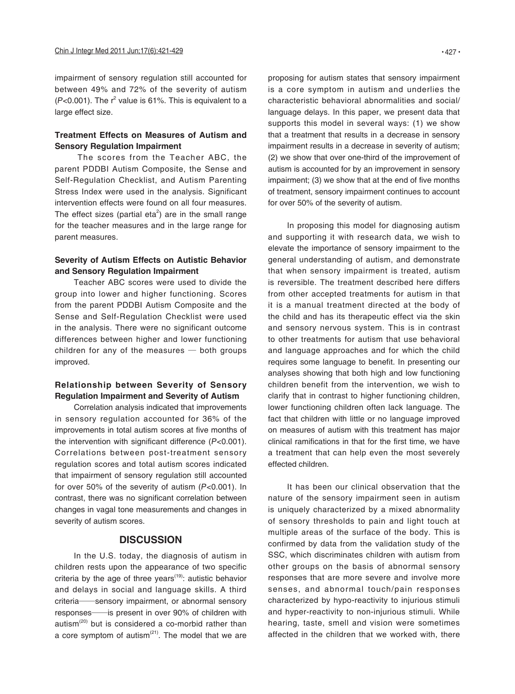impairment of sensory regulation still accounted for between 49% and 72% of the severity of autism  $(P<0.001)$ . The  $r<sup>2</sup>$  value is 61%. This is equivalent to a large effect size.

# **Treatment Effects on Measures of Autism and Sensory Regulation Impairment**

 The scores from the Teacher ABC, the parent PDDBI Autism Composite, the Sense and Self-Regulation Checklist, and Autism Parenting Stress Index were used in the analysis. Significant intervention effects were found on all four measures. The effect sizes (partial eta<sup>2</sup>) are in the small range for the teacher measures and in the large range for parent measures.

# **Severity of Autism Effects on Autistic Behavior and Sensory Regulation Impairment**

Teacher ABC scores were used to divide the group into lower and higher functioning. Scores from the parent PDDBI Autism Composite and the Sense and Self-Regulation Checklist were used in the analysis. There were no significant outcome differences between higher and lower functioning children for any of the measures  $-$  both groups improved.

# **Relationship between Severity of Sensory Regulation Impairment and Severity of Autism**

Correlation analysis indicated that improvements in sensory regulation accounted for 36% of the improvements in total autism scores at five months of the intervention with significant difference (P<0.001). Correlations between post-treatment sensory regulation scores and total autism scores indicated that impairment of sensory regulation still accounted for over 50% of the severity of autism (P<0.001). In contrast, there was no significant correlation between changes in vagal tone measurements and changes in severity of autism scores.

# **DISCUSSION**

In the U.S. today, the diagnosis of autism in children rests upon the appearance of two specific criteria by the age of three years<sup> $(19)$ </sup>: autistic behavior and delays in social and language skills. A third criteria—sensory impairment, or abnormal sensory responses—is present in over 90% of children with autism $^{(20)}$  but is considered a co-morbid rather than a core symptom of autism<sup>(21)</sup>. The model that we are

proposing for autism states that sensory impairment is a core symptom in autism and underlies the characteristic behavioral abnormalities and social/ language delays. In this paper, we present data that supports this model in several ways: (1) we show that a treatment that results in a decrease in sensory impairment results in a decrease in severity of autism; (2) we show that over one-third of the improvement of autism is accounted for by an improvement in sensory impairment; (3) we show that at the end of five months of treatment, sensory impairment continues to account for over 50% of the severity of autism.

In proposing this model for diagnosing autism and supporting it with research data, we wish to elevate the importance of sensory impairment to the general understanding of autism, and demonstrate that when sensory impairment is treated, autism is reversible. The treatment described here differs from other accepted treatments for autism in that it is a manual treatment directed at the body of the child and has its therapeutic effect via the skin and sensory nervous system. This is in contrast to other treatments for autism that use behavioral and language approaches and for which the child requires some language to benefit. In presenting our analyses showing that both high and low functioning children benefit from the intervention, we wish to clarify that in contrast to higher functioning children, lower functioning children often lack language. The fact that children with little or no language improved on measures of autism with this treatment has major clinical ramifications in that for the first time, we have a treatment that can help even the most severely effected children.

It has been our clinical observation that the nature of the sensory impairment seen in autism is uniquely characterized by a mixed abnormality of sensory thresholds to pain and light touch at multiple areas of the surface of the body. This is confirmed by data from the validation study of the SSC, which discriminates children with autism from other groups on the basis of abnormal sensory responses that are more severe and involve more senses, and abnormal touch/pain responses characterized by hypo-reactivity to injurious stimuli and hyper-reactivity to non-injurious stimuli. While hearing, taste, smell and vision were sometimes affected in the children that we worked with, there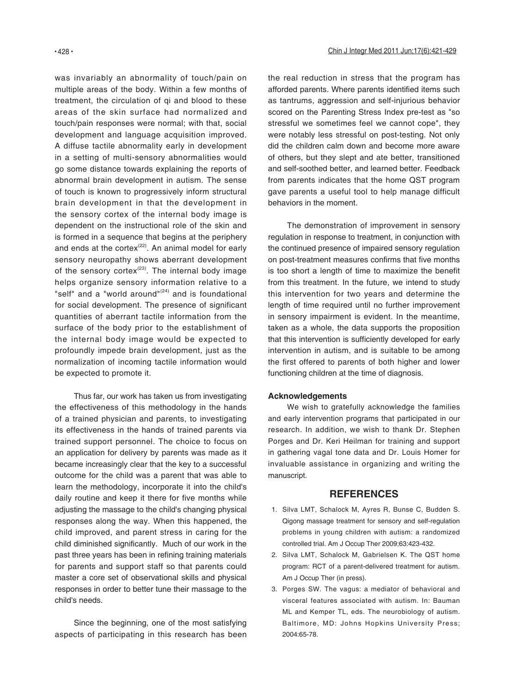was invariably an abnormality of touch/pain on multiple areas of the body. Within a few months of treatment, the circulation of qi and blood to these areas of the skin surface had normalized and touch/pain responses were normal; with that, social development and language acquisition improved. A diffuse tactile abnormality early in development in a setting of multi-sensory abnormalities would go some distance towards explaining the reports of abnormal brain development in autism. The sense of touch is known to progressively inform structural brain development in that the development in the sensory cortex of the internal body image is dependent on the instructional role of the skin and is formed in a sequence that begins at the periphery and ends at the cortex $(22)$ . An animal model for early sensory neuropathy shows aberrant development of the sensory cortex $(23)$ . The internal body image helps organize sensory information relative to a "self" and a "world around"<sup>(24)</sup> and is foundational for social development. The presence of significant quantities of aberrant tactile information from the surface of the body prior to the establishment of the internal body image would be expected to profoundly impede brain development, just as the normalization of incoming tactile information would be expected to promote it.

Thus far, our work has taken us from investigating the effectiveness of this methodology in the hands of a trained physician and parents, to investigating its effectiveness in the hands of trained parents via trained support personnel. The choice to focus on an application for delivery by parents was made as it became increasingly clear that the key to a successful outcome for the child was a parent that was able to learn the methodology, incorporate it into the child's daily routine and keep it there for five months while adjusting the massage to the child's changing physical responses along the way. When this happened, the child improved, and parent stress in caring for the child diminished significantly. Much of our work in the past three years has been in refining training materials for parents and support staff so that parents could master a core set of observational skills and physical responses in order to better tune their massage to the child's needs.

Since the beginning, one of the most satisfying aspects of participating in this research has been the real reduction in stress that the program has afforded parents. Where parents identified items such as tantrums, aggression and self-injurious behavior scored on the Parenting Stress Index pre-test as "so stressful we sometimes feel we cannot cope", they were notably less stressful on post-testing. Not only did the children calm down and become more aware of others, but they slept and ate better, transitioned and self-soothed better, and learned better. Feedback from parents indicates that the home QST program gave parents a useful tool to help manage difficult behaviors in the moment.

The demonstration of improvement in sensory regulation in response to treatment, in conjunction with the continued presence of impaired sensory regulation on post-treatment measures confirms that five months is too short a length of time to maximize the benefit from this treatment. In the future, we intend to study this intervention for two years and determine the length of time required until no further improvement in sensory impairment is evident. In the meantime, taken as a whole, the data supports the proposition that this intervention is sufficiently developed for early intervention in autism, and is suitable to be among the first offered to parents of both higher and lower functioning children at the time of diagnosis.

### **Acknowledgements**

We wish to gratefully acknowledge the families and early intervention programs that participated in our research. In addition, we wish to thank Dr. Stephen Porges and Dr. Keri Heilman for training and support in gathering vagal tone data and Dr. Louis Homer for invaluable assistance in organizing and writing the manuscript.

# **REFERENCES**

- 1. Silva LMT, Schalock M, Ayres R, Bunse C, Budden S. Qigong massage treatment for sensory and self-regulation problems in young children with autism: a randomized controlled trial. Am J Occup Ther 2009;63:423-432.
- 2. Silva LMT, Schalock M, Gabrielsen K. The QST home program: RCT of a parent-delivered treatment for autism. Am J Occup Ther (in press).
- 3. Porges SW. The vagus: a mediator of behavioral and visceral features associated with autism. In: Bauman ML and Kemper TL, eds. The neurobiology of autism. Baltimore, MD: Johns Hopkins University Press; 2004:65-78.